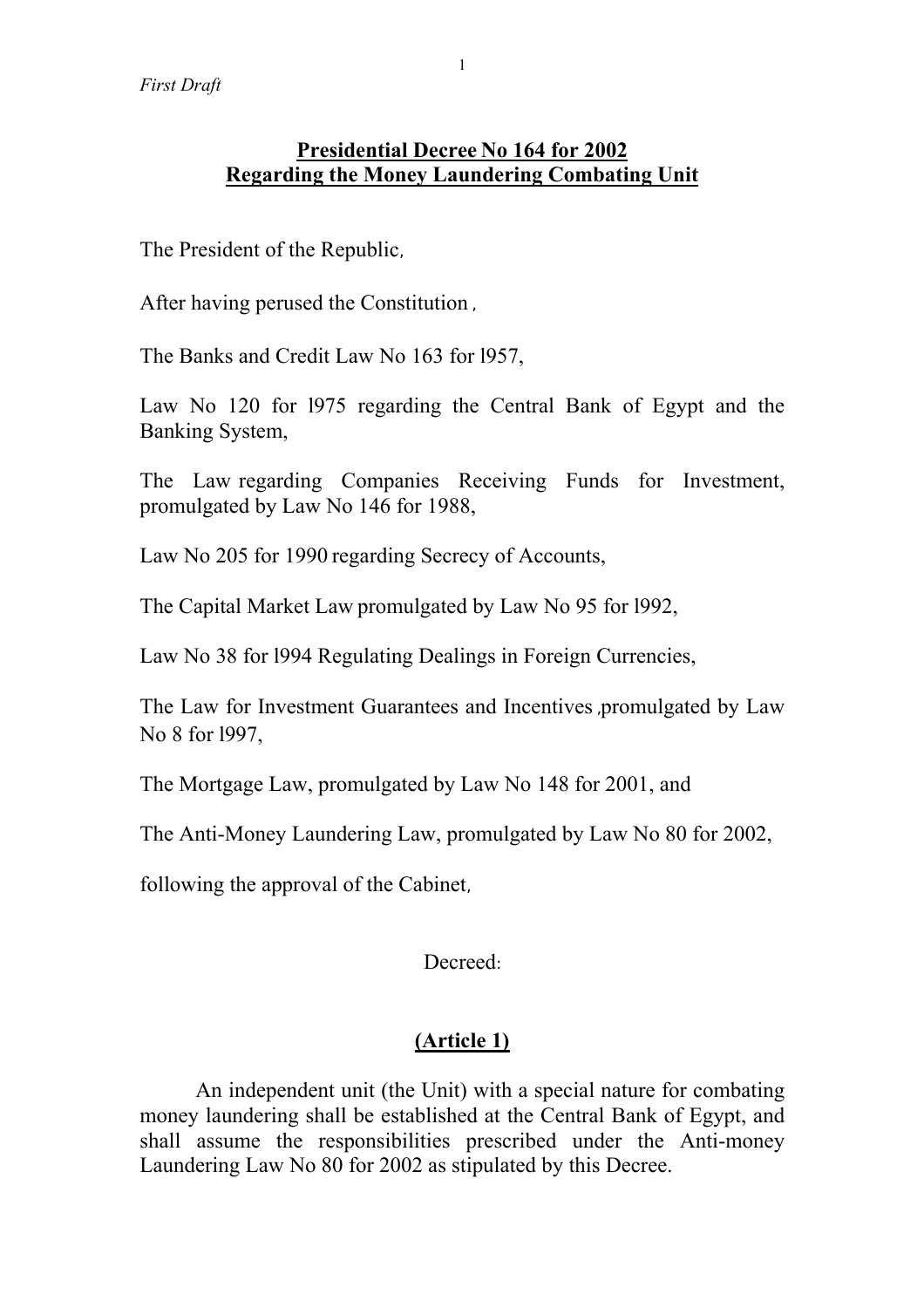# **Presidential Decree No 164 for 2002 Regarding the Money Laundering Combating Unit**

The President of the Republic,

After having perused the Constitution ,

The Banks and Credit Law No 163 for l957,

Law No 120 for l975 regarding the Central Bank of Egypt and the Banking System,

The Law regarding Companies Receiving Funds for Investment, promulgated by Law No 146 for 1988,

Law No 205 for 1990 regarding Secrecy of Accounts,

The Capital Market Law promulgated by Law No 95 for l992,

Law No 38 for l994 Regulating Dealings in Foreign Currencies,

The Law for Investment Guarantees and Incentives ,promulgated by Law No 8 for l997,

The Mortgage Law, promulgated by Law No 148 for 2001, and

The Anti-Money Laundering Law, promulgated by Law No 80 for 2002,

following the approval of the Cabinet,

# Decreed:

# **(Article 1)**

An independent unit (the Unit) with a special nature for combating money laundering shall be established at the Central Bank of Egypt, and shall assume the responsibilities prescribed under the Anti-money Laundering Law No 80 for 2002 as stipulated by this Decree.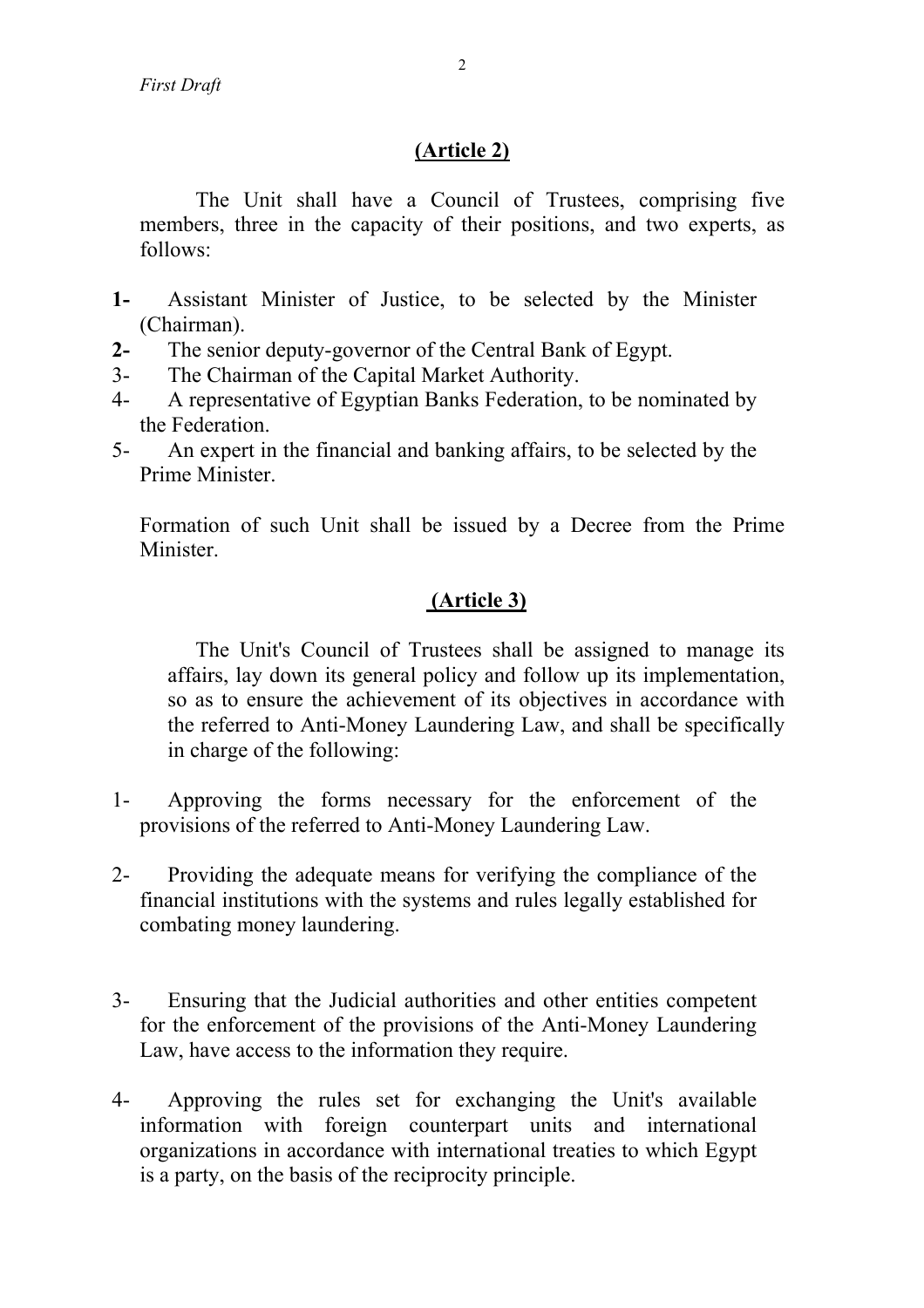## **(Article 2)**

The Unit shall have a Council of Trustees, comprising five members, three in the capacity of their positions, and two experts, as follows:

- **1-** Assistant Minister of Justice, to be selected by the Minister (Chairman).
- **2-** The senior deputy-governor of the Central Bank of Egypt.
- 3- The Chairman of the Capital Market Authority.
- 4- A representative of Egyptian Banks Federation, to be nominated by the Federation.
- 5- An expert in the financial and banking affairs, to be selected by the Prime Minister.

Formation of such Unit shall be issued by a Decree from the Prime Minister.

## **(Article 3)**

The Unit's Council of Trustees shall be assigned to manage its affairs, lay down its general policy and follow up its implementation, so as to ensure the achievement of its objectives in accordance with the referred to Anti-Money Laundering Law, and shall be specifically in charge of the following:

- 1- Approving the forms necessary for the enforcement of the provisions of the referred to Anti-Money Laundering Law.
- 2- Providing the adequate means for verifying the compliance of the financial institutions with the systems and rules legally established for combating money laundering.
- 3- Ensuring that the Judicial authorities and other entities competent for the enforcement of the provisions of the Anti-Money Laundering Law, have access to the information they require.
- 4- Approving the rules set for exchanging the Unit's available information with foreign counterpart units and international organizations in accordance with international treaties to which Egypt is a party, on the basis of the reciprocity principle.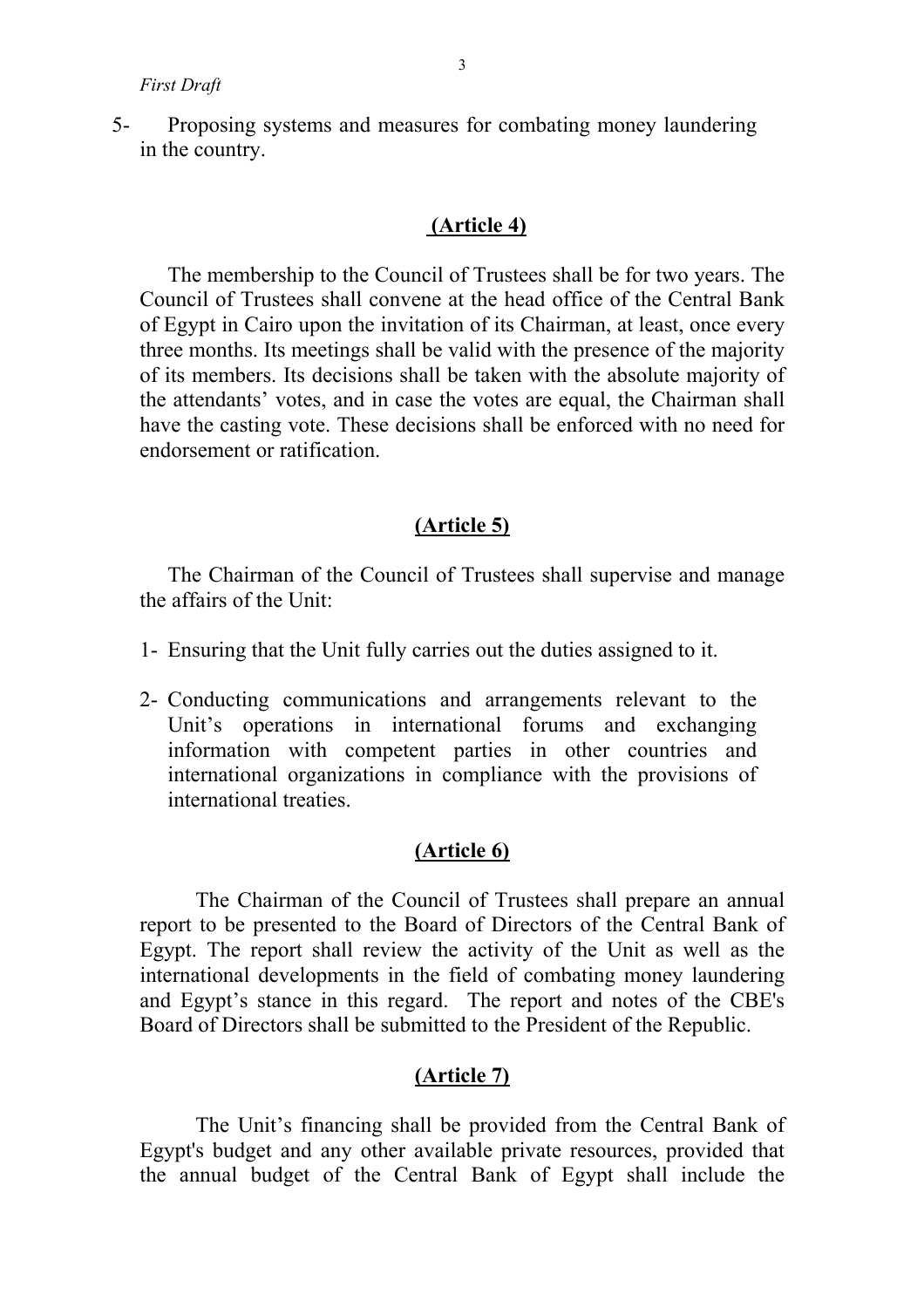5- Proposing systems and measures for combating money laundering in the country.

### **(Article 4)**

The membership to the Council of Trustees shall be for two years. The Council of Trustees shall convene at the head office of the Central Bank of Egypt in Cairo upon the invitation of its Chairman, at least, once every three months. Its meetings shall be valid with the presence of the majority of its members. Its decisions shall be taken with the absolute majority of the attendants' votes, and in case the votes are equal, the Chairman shall have the casting vote. These decisions shall be enforced with no need for endorsement or ratification.

### **(Article 5)**

The Chairman of the Council of Trustees shall supervise and manage the affairs of the Unit:

- 1- Ensuring that the Unit fully carries out the duties assigned to it.
- 2- Conducting communications and arrangements relevant to the Unit's operations in international forums and exchanging information with competent parties in other countries and international organizations in compliance with the provisions of international treaties.

### **(Article 6)**

The Chairman of the Council of Trustees shall prepare an annual report to be presented to the Board of Directors of the Central Bank of Egypt. The report shall review the activity of the Unit as well as the international developments in the field of combating money laundering and Egypt's stance in this regard. The report and notes of the CBE's Board of Directors shall be submitted to the President of the Republic.

### **(Article 7)**

The Unit's financing shall be provided from the Central Bank of Egypt's budget and any other available private resources, provided that the annual budget of the Central Bank of Egypt shall include the